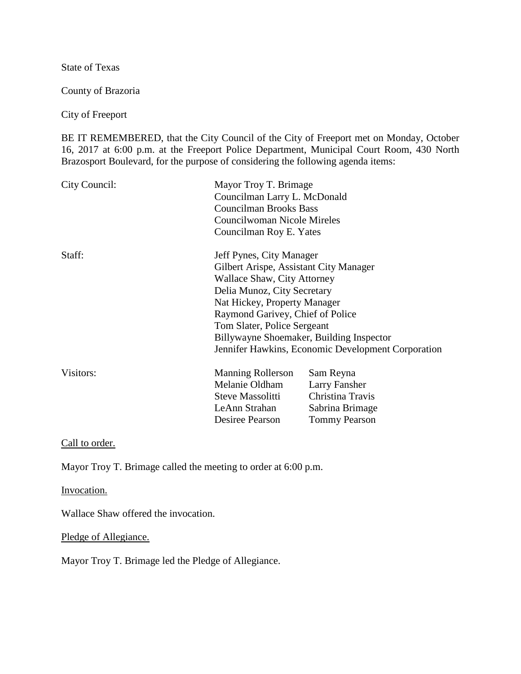State of Texas

County of Brazoria

City of Freeport

BE IT REMEMBERED, that the City Council of the City of Freeport met on Monday, October 16, 2017 at 6:00 p.m. at the Freeport Police Department, Municipal Court Room, 430 North Brazosport Boulevard, for the purpose of considering the following agenda items:

| City Council: | Mayor Troy T. Brimage<br>Councilman Larry L. McDonald<br><b>Councilman Brooks Bass</b><br>Councilwoman Nicole Mireles<br>Councilman Roy E. Yates |                      |
|---------------|--------------------------------------------------------------------------------------------------------------------------------------------------|----------------------|
| Staff:        | Jeff Pynes, City Manager                                                                                                                         |                      |
|               | Gilbert Arispe, Assistant City Manager                                                                                                           |                      |
|               | <b>Wallace Shaw, City Attorney</b>                                                                                                               |                      |
|               | Delia Munoz, City Secretary                                                                                                                      |                      |
|               | Nat Hickey, Property Manager                                                                                                                     |                      |
|               | Raymond Garivey, Chief of Police                                                                                                                 |                      |
|               | Tom Slater, Police Sergeant                                                                                                                      |                      |
|               | Billywayne Shoemaker, Building Inspector                                                                                                         |                      |
|               | Jennifer Hawkins, Economic Development Corporation                                                                                               |                      |
| Visitors:     | <b>Manning Rollerson</b>                                                                                                                         | Sam Reyna            |
|               | Melanie Oldham                                                                                                                                   | Larry Fansher        |
|               | Steve Massolitti                                                                                                                                 | Christina Travis     |
|               | LeAnn Strahan                                                                                                                                    | Sabrina Brimage      |
|               | Desiree Pearson                                                                                                                                  | <b>Tommy Pearson</b> |

Call to order.

Mayor Troy T. Brimage called the meeting to order at 6:00 p.m.

Invocation.

Wallace Shaw offered the invocation.

Pledge of Allegiance.

Mayor Troy T. Brimage led the Pledge of Allegiance.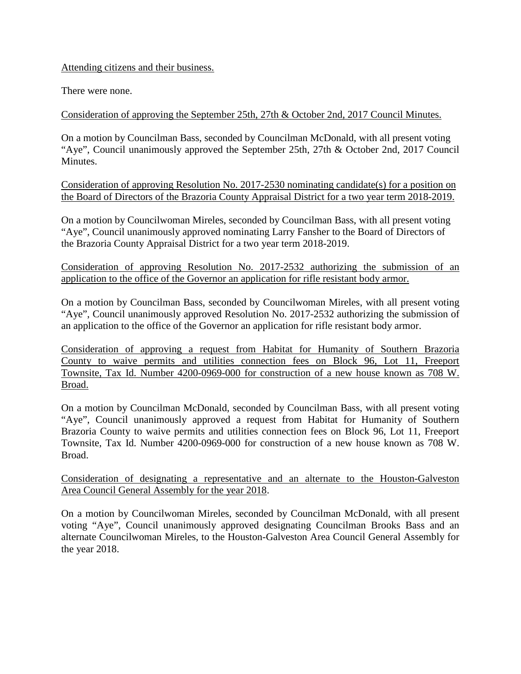### Attending citizens and their business.

There were none.

Consideration of approving the September 25th, 27th & October 2nd, 2017 Council Minutes.

On a motion by Councilman Bass, seconded by Councilman McDonald, with all present voting "Aye", Council unanimously approved the September 25th, 27th & October 2nd, 2017 Council Minutes.

Consideration of approving Resolution No. 2017-2530 nominating candidate(s) for a position on the Board of Directors of the Brazoria County Appraisal District for a two year term 2018-2019.

On a motion by Councilwoman Mireles, seconded by Councilman Bass, with all present voting "Aye", Council unanimously approved nominating Larry Fansher to the Board of Directors of the Brazoria County Appraisal District for a two year term 2018-2019.

Consideration of approving Resolution No. 2017-2532 authorizing the submission of an application to the office of the Governor an application for rifle resistant body armor.

On a motion by Councilman Bass, seconded by Councilwoman Mireles, with all present voting "Aye", Council unanimously approved Resolution No. 2017-2532 authorizing the submission of an application to the office of the Governor an application for rifle resistant body armor.

Consideration of approving a request from Habitat for Humanity of Southern Brazoria County to waive permits and utilities connection fees on Block 96, Lot 11, Freeport Townsite, Tax Id. Number 4200-0969-000 for construction of a new house known as 708 W. Broad.

On a motion by Councilman McDonald, seconded by Councilman Bass, with all present voting "Aye", Council unanimously approved a request from Habitat for Humanity of Southern Brazoria County to waive permits and utilities connection fees on Block 96, Lot 11, Freeport Townsite, Tax Id. Number 4200-0969-000 for construction of a new house known as 708 W. Broad.

Consideration of designating a representative and an alternate to the Houston-Galveston Area Council General Assembly for the year 2018.

On a motion by Councilwoman Mireles, seconded by Councilman McDonald, with all present voting "Aye", Council unanimously approved designating Councilman Brooks Bass and an alternate Councilwoman Mireles, to the Houston-Galveston Area Council General Assembly for the year 2018.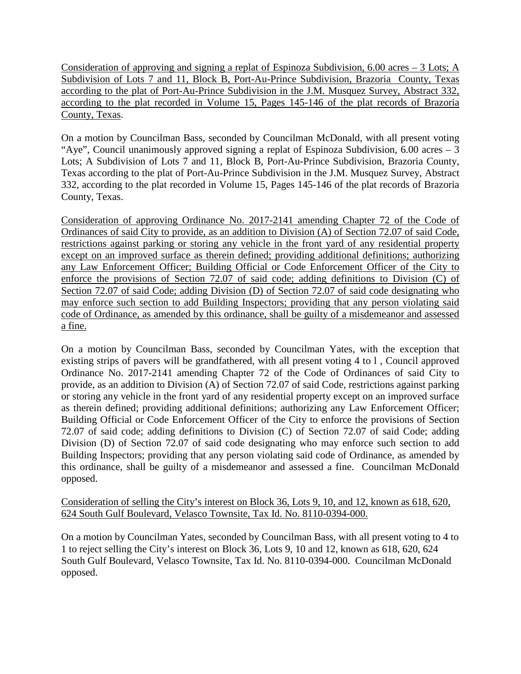Consideration of approving and signing a replat of Espinoza Subdivision, 6.00 acres – 3 Lots; A Subdivision of Lots 7 and 11, Block B, Port-Au-Prince Subdivision, Brazoria County, Texas according to the plat of Port-Au-Prince Subdivision in the J.M. Musquez Survey, Abstract 332, according to the plat recorded in Volume 15, Pages 145-146 of the plat records of Brazoria County, Texas.

On a motion by Councilman Bass, seconded by Councilman McDonald, with all present voting "Aye", Council unanimously approved signing a replat of Espinoza Subdivision, 6.00 acres – 3 Lots; A Subdivision of Lots 7 and 11, Block B, Port-Au-Prince Subdivision, Brazoria County, Texas according to the plat of Port-Au-Prince Subdivision in the J.M. Musquez Survey, Abstract 332, according to the plat recorded in Volume 15, Pages 145-146 of the plat records of Brazoria County, Texas.

Consideration of approving Ordinance No. 2017-2141 amending Chapter 72 of the Code of Ordinances of said City to provide, as an addition to Division (A) of Section 72.07 of said Code, restrictions against parking or storing any vehicle in the front yard of any residential property except on an improved surface as therein defined; providing additional definitions; authorizing any Law Enforcement Officer; Building Official or Code Enforcement Officer of the City to enforce the provisions of Section 72.07 of said code; adding definitions to Division (C) of Section 72.07 of said Code; adding Division (D) of Section 72.07 of said code designating who may enforce such section to add Building Inspectors; providing that any person violating said code of Ordinance, as amended by this ordinance, shall be guilty of a misdemeanor and assessed a fine.

On a motion by Councilman Bass, seconded by Councilman Yates, with the exception that existing strips of pavers will be grandfathered, with all present voting 4 to l , Council approved Ordinance No. 2017-2141 amending Chapter 72 of the Code of Ordinances of said City to provide, as an addition to Division (A) of Section 72.07 of said Code, restrictions against parking or storing any vehicle in the front yard of any residential property except on an improved surface as therein defined; providing additional definitions; authorizing any Law Enforcement Officer; Building Official or Code Enforcement Officer of the City to enforce the provisions of Section 72.07 of said code; adding definitions to Division (C) of Section 72.07 of said Code; adding Division (D) of Section 72.07 of said code designating who may enforce such section to add Building Inspectors; providing that any person violating said code of Ordinance, as amended by this ordinance, shall be guilty of a misdemeanor and assessed a fine. Councilman McDonald opposed.

Consideration of selling the City's interest on Block 36, Lots 9, 10, and 12, known as 618, 620, 624 South Gulf Boulevard, Velasco Townsite, Tax Id. No. 8110-0394-000.

On a motion by Councilman Yates, seconded by Councilman Bass, with all present voting to 4 to 1 to reject selling the City's interest on Block 36, Lots 9, 10 and 12, known as 618, 620, 624 South Gulf Boulevard, Velasco Townsite, Tax Id. No. 8110-0394-000. Councilman McDonald opposed.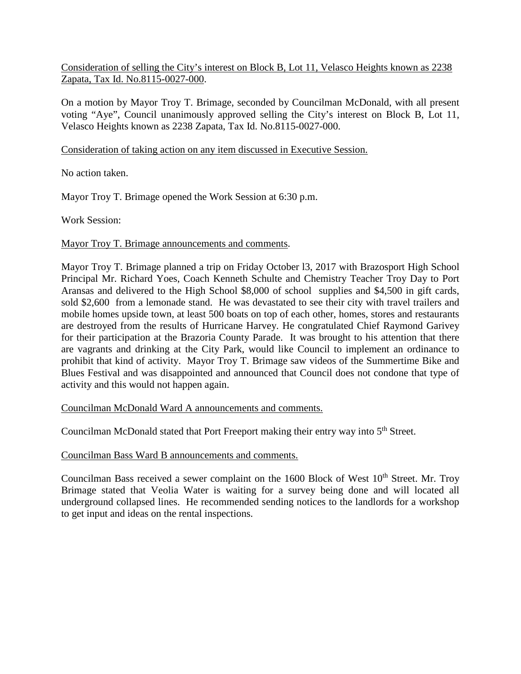### Consideration of selling the City's interest on Block B, Lot 11, Velasco Heights known as 2238 Zapata, Tax Id. No.8115-0027-000.

On a motion by Mayor Troy T. Brimage, seconded by Councilman McDonald, with all present voting "Aye", Council unanimously approved selling the City's interest on Block B, Lot 11, Velasco Heights known as 2238 Zapata, Tax Id. No.8115-0027-000.

#### Consideration of taking action on any item discussed in Executive Session.

No action taken.

Mayor Troy T. Brimage opened the Work Session at 6:30 p.m.

Work Session:

#### Mayor Troy T. Brimage announcements and comments.

Mayor Troy T. Brimage planned a trip on Friday October l3, 2017 with Brazosport High School Principal Mr. Richard Yoes, Coach Kenneth Schulte and Chemistry Teacher Troy Day to Port Aransas and delivered to the High School \$8,000 of school supplies and \$4,500 in gift cards, sold \$2,600 from a lemonade stand. He was devastated to see their city with travel trailers and mobile homes upside town, at least 500 boats on top of each other, homes, stores and restaurants are destroyed from the results of Hurricane Harvey. He congratulated Chief Raymond Garivey for their participation at the Brazoria County Parade. It was brought to his attention that there are vagrants and drinking at the City Park, would like Council to implement an ordinance to prohibit that kind of activity. Mayor Troy T. Brimage saw videos of the Summertime Bike and Blues Festival and was disappointed and announced that Council does not condone that type of activity and this would not happen again.

Councilman McDonald Ward A announcements and comments.

Councilman McDonald stated that Port Freeport making their entry way into 5<sup>th</sup> Street.

Councilman Bass Ward B announcements and comments.

Councilman Bass received a sewer complaint on the  $1600$  Block of West  $10<sup>th</sup>$  Street. Mr. Troy Brimage stated that Veolia Water is waiting for a survey being done and will located all underground collapsed lines. He recommended sending notices to the landlords for a workshop to get input and ideas on the rental inspections.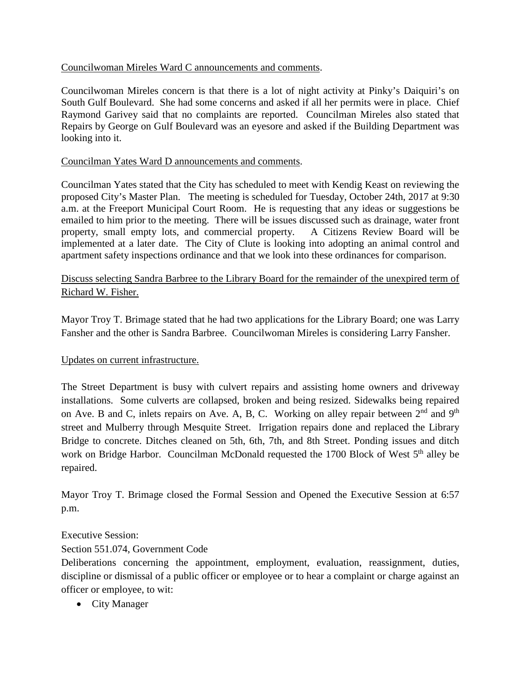# Councilwoman Mireles Ward C announcements and comments.

Councilwoman Mireles concern is that there is a lot of night activity at Pinky's Daiquiri's on South Gulf Boulevard. She had some concerns and asked if all her permits were in place. Chief Raymond Garivey said that no complaints are reported. Councilman Mireles also stated that Repairs by George on Gulf Boulevard was an eyesore and asked if the Building Department was looking into it.

# Councilman Yates Ward D announcements and comments.

Councilman Yates stated that the City has scheduled to meet with Kendig Keast on reviewing the proposed City's Master Plan. The meeting is scheduled for Tuesday, October 24th, 2017 at 9:30 a.m. at the Freeport Municipal Court Room. He is requesting that any ideas or suggestions be emailed to him prior to the meeting. There will be issues discussed such as drainage, water front property, small empty lots, and commercial property. A Citizens Review Board will be implemented at a later date. The City of Clute is looking into adopting an animal control and apartment safety inspections ordinance and that we look into these ordinances for comparison.

# Discuss selecting Sandra Barbree to the Library Board for the remainder of the unexpired term of Richard W. Fisher.

Mayor Troy T. Brimage stated that he had two applications for the Library Board; one was Larry Fansher and the other is Sandra Barbree. Councilwoman Mireles is considering Larry Fansher.

# Updates on current infrastructure.

The Street Department is busy with culvert repairs and assisting home owners and driveway installations. Some culverts are collapsed, broken and being resized. Sidewalks being repaired on Ave. B and C, inlets repairs on Ave. A, B, C. Working on alley repair between  $2<sup>nd</sup>$  and  $9<sup>th</sup>$ street and Mulberry through Mesquite Street. Irrigation repairs done and replaced the Library Bridge to concrete. Ditches cleaned on 5th, 6th, 7th, and 8th Street. Ponding issues and ditch work on Bridge Harbor. Councilman McDonald requested the 1700 Block of West 5<sup>th</sup> alley be repaired.

Mayor Troy T. Brimage closed the Formal Session and Opened the Executive Session at 6:57 p.m.

#### Executive Session:

Section 551.074, Government Code

Deliberations concerning the appointment, employment, evaluation, reassignment, duties, discipline or dismissal of a public officer or employee or to hear a complaint or charge against an officer or employee, to wit:

• City Manager